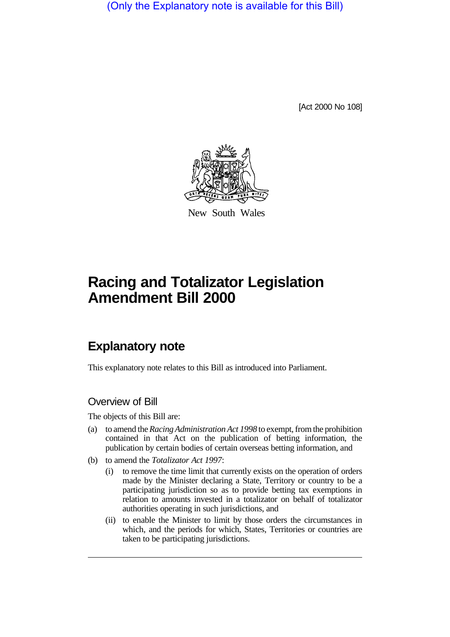(Only the Explanatory note is available for this Bill)

[Act 2000 No 108]



New South Wales

# **Racing and Totalizator Legislation Amendment Bill 2000**

## **Explanatory note**

This explanatory note relates to this Bill as introduced into Parliament.

#### Overview of Bill

The objects of this Bill are:

- (a) to amend the *Racing Administration Act 1998* to exempt, from the prohibition contained in that Act on the publication of betting information, the publication by certain bodies of certain overseas betting information, and
- (b) to amend the *Totalizator Act 1997*:
	- (i) to remove the time limit that currently exists on the operation of orders made by the Minister declaring a State, Territory or country to be a participating jurisdiction so as to provide betting tax exemptions in relation to amounts invested in a totalizator on behalf of totalizator authorities operating in such jurisdictions, and
	- (ii) to enable the Minister to limit by those orders the circumstances in which, and the periods for which, States, Territories or countries are taken to be participating jurisdictions.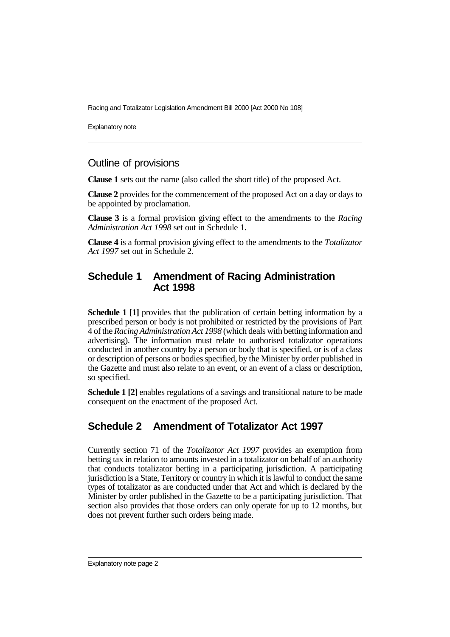Racing and Totalizator Legislation Amendment Bill 2000 [Act 2000 No 108]

Explanatory note

#### Outline of provisions

**Clause 1** sets out the name (also called the short title) of the proposed Act.

**Clause 2** provides for the commencement of the proposed Act on a day or days to be appointed by proclamation.

**Clause 3** is a formal provision giving effect to the amendments to the *Racing Administration Act 1998* set out in Schedule 1.

**Clause 4** is a formal provision giving effect to the amendments to the *Totalizator Act 1997* set out in Schedule 2.

#### **Schedule 1 Amendment of Racing Administration Act 1998**

**Schedule 1 [1]** provides that the publication of certain betting information by a prescribed person or body is not prohibited or restricted by the provisions of Part 4 of the *Racing Administration Act 1998* (which deals with betting information and advertising). The information must relate to authorised totalizator operations conducted in another country by a person or body that is specified, or is of a class or description of persons or bodies specified, by the Minister by order published in the Gazette and must also relate to an event, or an event of a class or description, so specified.

**Schedule 1 [2]** enables regulations of a savings and transitional nature to be made consequent on the enactment of the proposed Act.

### **Schedule 2 Amendment of Totalizator Act 1997**

Currently section 71 of the *Totalizator Act 1997* provides an exemption from betting tax in relation to amounts invested in a totalizator on behalf of an authority that conducts totalizator betting in a participating jurisdiction. A participating jurisdiction is a State, Territory or country in which it is lawful to conduct the same types of totalizator as are conducted under that Act and which is declared by the Minister by order published in the Gazette to be a participating jurisdiction. That section also provides that those orders can only operate for up to 12 months, but does not prevent further such orders being made.